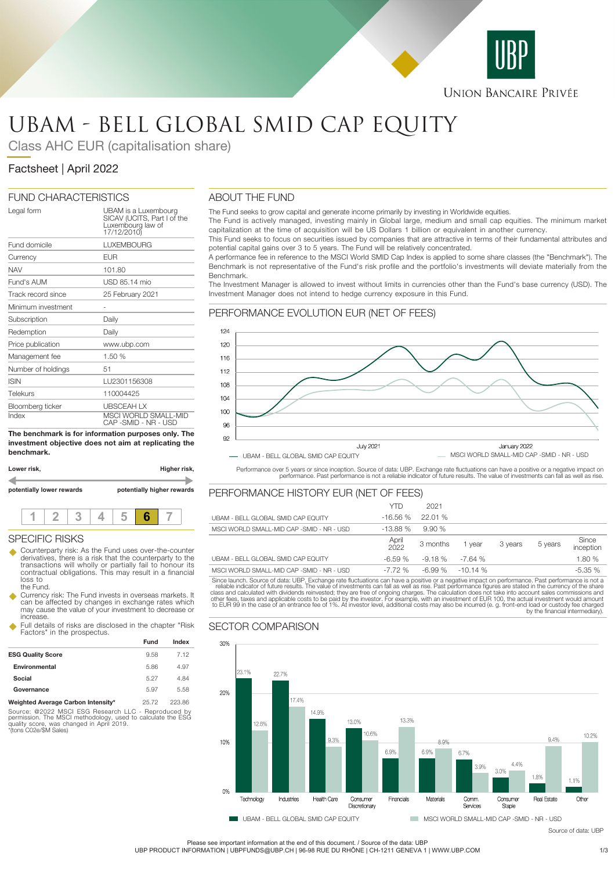

## **UNION BANCAIRE PRIVÉE**

# UBAM - BELL GLOBAL SMID CAP EQUITY

Class AHC EUR (capitalisation share)

# Factsheet | April 2022

## FUND CHARACTERISTICS

| Legal form         | UBAM is a Luxembourg<br>SICAV (UCITS, Part I of the<br>Luxembourg law of<br>17/12/2010) |
|--------------------|-----------------------------------------------------------------------------------------|
| Fund domicile      | <b>LUXEMBOURG</b>                                                                       |
| Currency           | EUR                                                                                     |
| <b>NAV</b>         | 101.80                                                                                  |
| Fund's AUM         | USD 85.14 mio                                                                           |
| Track record since | 25 February 2021                                                                        |
| Minimum investment |                                                                                         |
| Subscription       | Daily                                                                                   |
| Redemption         | Daily                                                                                   |
| Price publication  | www.ubp.com                                                                             |
| Management fee     | 1.50 %                                                                                  |
| Number of holdings | 51                                                                                      |
| <b>ISIN</b>        | LU2301156308                                                                            |
| Telekurs           | 110004425                                                                               |
| Bloomberg ticker   | <b>UBSCEAH LX</b>                                                                       |
| Index              | <b>MSCI WORLD SMALL-MID</b><br>CAP -SMID - NR - USD                                     |

**The benchmark is for information purposes only. The investment objective does not aim at replicating the benchmark.**

| Lower risk,               | Higher risk,               |
|---------------------------|----------------------------|
|                           |                            |
| potentially lower rewards | potentially higher rewards |
|                           |                            |

|--|--|--|--|--|--|

## SPECIFIC RISKS

- u Counterparty risk: As the Fund uses over-the-counter derivatives, there is a risk that the counterparty to the transactions will wholly or partially fail to honour its contractual obligations. This may result in a financial loss to the Fund.
- Currency risk: The Fund invests in overseas markets. It can be affected by changes in exchange rates which may cause the value of your investment to decrease or increase.
- Full details of risks are disclosed in the chapter "Risk Factors" in the prospectus.

|                                         | Fund  | Index  |
|-----------------------------------------|-------|--------|
| <b>ESG Quality Score</b>                | 9.58  | 7.12   |
| Environmental                           | 5.86  | 4.97   |
| Social                                  | 5.27  | 4.84   |
| Governance                              | 5.97  | 5.58   |
| Material Arrested Oculean Internativity | AC,70 | non po |

**Weighted Average Carbon Intensity\*** 25.72 223.86 Source: @2022 MSCI ESG Research LLC - Reproduced by permission. The MSCI methodology, used to calculate the ESG quality score, was changed in April 2019. \*(tons C02e/\$M Sales)

## ABOUT THE FUND

The Fund seeks to grow capital and generate income primarily by investing in Worldwide equities.

The Fund is actively managed, investing mainly in Global large, medium and small cap equities. The minimum market capitalization at the time of acquisition will be US Dollars 1 billion or equivalent in another currency.

This Fund seeks to focus on securities issued by companies that are attractive in terms of their fundamental attributes and potential capital gains over 3 to 5 years. The Fund will be relatively concentrated.

A performance fee in reference to the MSCI World SMID Cap Index is applied to some share classes (the "Benchmark"). The Benchmark is not representative of the Fund's risk profile and the portfolio's investments will deviate materially from the Benchmark.

The Investment Manager is allowed to invest without limits in currencies other than the Fund's base currency (USD). The Investment Manager does not intend to hedge currency exposure in this Fund.

## PERFORMANCE EVOLUTION EUR (NET OF FEES)



Performance over 5 years or since inception. Source of data: UBP. Exchange rate fluctuations can have a positive or a negative impact on<br>performance. Past performance is not a reliable indicator of future results. The valu

## PERFORMANCE HISTORY EUR (NET OF FEES)

|                                           | <b>YTD</b>    | 2021     |           |         |         |                    |
|-------------------------------------------|---------------|----------|-----------|---------|---------|--------------------|
| UBAM - BELL GLOBAL SMID CAP EQUITY        | $-16.56%$     | 22.01%   |           |         |         |                    |
| MSCI WORLD SMALL-MID CAP -SMID - NR - USD | $-13.88%$     | 9.90%    |           |         |         |                    |
|                                           | April<br>2022 | 3 months | vear      | 3 vears | 5 years | Since<br>inception |
| UBAM - BELL GLOBAL SMID CAP EQUITY        | $-6.59%$      | $-9.18%$ | $-7.64%$  |         |         | 1.80 %             |
| MSCI WORLD SMALL-MID CAP -SMID - NR - USD | $-7.72%$      | $-6.99%$ | $-10.14%$ |         |         | $-5.35%$           |

Since launch. Source of data: UBP. Exchange rate fluctuations can have a positive or a negative impact on performance. Past performance is not a reliable indicator of future results. The value of investments can fall as we

## SECTOR COMPARISON



Please see important information at the end of this document. / Source of the data: UBP

UBP PRODUCT INFORMATION | UBPFUNDS@UBP.CH | 96-98 RUE DU RHÔNE | CH-1211 GENEVA 1 | WWW.UBP.COM 1/3

Source of data: UBP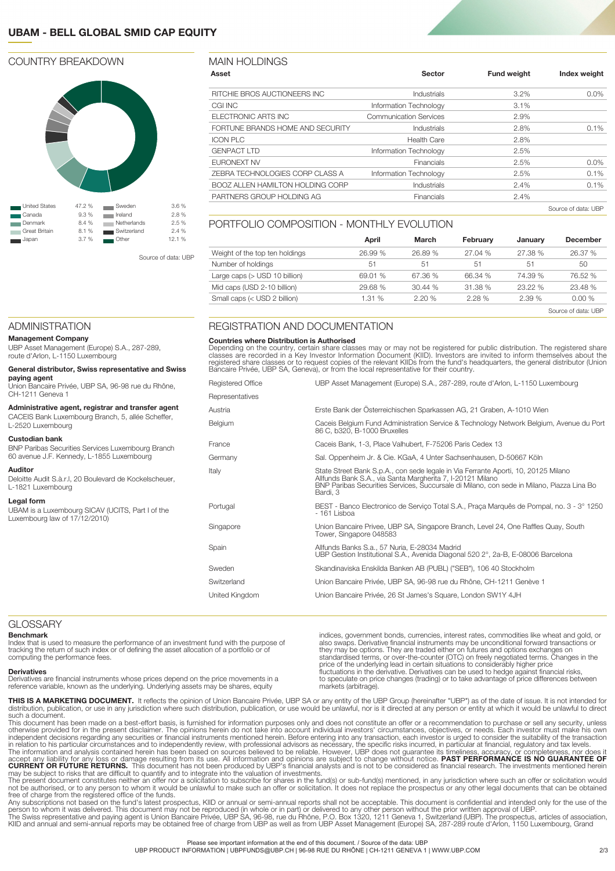## **UBAM - BELL GLOBAL SMID CAP EQUITY**

## COUNTRY BREAKDOWN



Source of data: UBP

## MAIN HOLDINGS

| Asset                                   | Sector                        | <b>Fund weight</b> | Index weight |
|-----------------------------------------|-------------------------------|--------------------|--------------|
| RITCHIE BROS AUCTIONEERS INC            | Industrials                   | $3.2\%$            | $0.0\%$      |
| CGI INC                                 | Information Technology        | 3.1%               |              |
| ELECTRONIC ARTS INC                     | <b>Communication Services</b> | 2.9%               |              |
| FORTUNE BRANDS HOME AND SECURITY        | Industrials                   | 2.8%               | $0.1\%$      |
| <b>ICON PLC</b>                         | <b>Health Care</b>            | 2.8%               |              |
| <b>GENPACT LTD</b>                      | Information Technology        | 2.5%               |              |
| <b>EURONEXT NV</b>                      | Financials                    | 2.5%               | $0.0\%$      |
| ZEBRA TECHNOLOGIES CORP CLASS A         | Information Technology        | 2.5%               | 0.1%         |
| <b>BOOZ ALLEN HAMILTON HOLDING CORP</b> | Industrials                   | 2.4%               | 0.1%         |
| PARTNERS GROUP HOLDING AG               | Financials                    | 2.4%               |              |
|                                         |                               |                    |              |

Source of data: UBP

### PORTFOLIO COMPOSITION - MONTHLY EVOLUTION

|                                | April   | March   | February | January | <b>December</b>     |
|--------------------------------|---------|---------|----------|---------|---------------------|
| Weight of the top ten holdings | 26.99%  | 26.89 % | 27.04%   | 27.38 % | 26.37 %             |
| Number of holdings             | $-51$   | 51      | 51       | 51      | 50                  |
| Large caps $($ USD 10 billion) | 69.01 % | 67.36 % | 66.34 %  | 74.39 % | 76.52 %             |
| Mid caps (USD 2-10 billion)    | 29.68 % | 30.44%  | 31.38 %  | 23.22 % | 23.48 %             |
| Small caps (< USD 2 billion)   | 1.31 %  | 2.20%   | 2.28%    | 2.39%   | 0.00%               |
|                                |         |         |          |         | Source of data: UBP |

## ADMINISTRATION

#### **Management Company**

UBP Asset Management (Europe) S.A., 287-289, route d'Arlon, L-1150 Luxembourg

#### **General distributor, Swiss representative and Swiss paying agent**

Union Bancaire Privée, UBP SA, 96-98 rue du Rhône, CH-1211 Geneva 1

#### **Administrative agent, registrar and transfer agent** CACEIS Bank Luxembourg Branch, 5, allée Scheffer,

L-2520 Luxembourg

#### **Custodian bank**

BNP Paribas Securities Services Luxembourg Branch 60 avenue J.F. Kennedy, L-1855 Luxembourg

## **Auditor**

Deloitte Audit S.à.r.l, 20 Boulevard de Kockelscheuer, L-1821 Luxembourg

#### **Legal form**

UBAM is a Luxembourg SICAV (UCITS, Part I of the Luxembourg law of 17/12/2010)

## REGISTRATION AND DOCUMENTATION

#### **Countries where Distribution is Authorised**

Depending on the country, certain share classes may or may not be registered for public distribution. The registered share<br>classes are recorded in a Key Investor Information Document (KIID). Investors are invited to inform

| Registered Office | UBP Asset Management (Europe) S.A., 287-289, route d'Arlon, L-1150 Luxembourg                                                                                                                                                                             |
|-------------------|-----------------------------------------------------------------------------------------------------------------------------------------------------------------------------------------------------------------------------------------------------------|
| Representatives   |                                                                                                                                                                                                                                                           |
| Austria           | Erste Bank der Österreichischen Sparkassen AG, 21 Graben, A-1010 Wien                                                                                                                                                                                     |
| Belgium           | Caceis Belgium Fund Administration Service & Technology Network Belgium, Avenue du Port<br>86 C, b320, B-1000 Bruxelles                                                                                                                                   |
| France            | Caceis Bank, 1-3, Place Valhubert, F-75206 Paris Cedex 13                                                                                                                                                                                                 |
| Germany           | Sal. Oppenheim Jr. & Cie. KGaA, 4 Unter Sachsenhausen, D-50667 Köln                                                                                                                                                                                       |
| Italy             | State Street Bank S.p.A., con sede legale in Via Ferrante Aporti, 10, 20125 Milano<br>Allfunds Bank S.A., via Santa Margherita 7, I-20121 Milano<br>BNP Paribas Securities Services, Succursale di Milano, con sede in Milano, Piazza Lina Bo<br>Bardi, 3 |
| Portugal          | BEST - Banco Electronico de Servico Total S.A., Praca Marquês de Pompal, no. 3 - 3° 1250<br>- 161 Lisboa                                                                                                                                                  |
| Singapore         | Union Bancaire Privee, UBP SA, Singapore Branch, Level 24, One Raffles Quay, South<br>Tower, Singapore 048583                                                                                                                                             |
| Spain             | Allfunds Banks S.a., 57 Nuria, E-28034 Madrid<br>UBP Gestion Institutional S.A., Avenida Diagonal 520 2°, 2a-B, E-08006 Barcelona                                                                                                                         |
| Sweden            | Skandinaviska Enskilda Banken AB (PUBL) ("SEB"), 106 40 Stockholm                                                                                                                                                                                         |
| Switzerland       | Union Bancaire Privée, UBP SA, 96-98 rue du Rhône, CH-1211 Genève 1                                                                                                                                                                                       |
| United Kingdom    | Union Bancaire Privée, 26 St James's Square, London SW1Y 4JH                                                                                                                                                                                              |

#### GLOSSARY

#### **Benchmark**

Index that is used to measure the performance of an investment fund with the purpose of tracking the return of such index or of defining the asset allocation of a portfolio or of computing the performance fees.

#### **Derivatives**

Derivatives are financial instruments whose prices depend on the price movements in a reference variable, known as the underlying. Underlying assets may be shares, equity

indices, government bonds, currencies, interest rates, commodities like wheat and gold, or also swaps. Derivative financial instruments may be unconditional forward transactions or they may be options. They are traded either on futures and options exchanges on standardised terms, or over-the-counter (OTC) on freely negotiated terms. Changes in the<br>price of the underlying lead in certain situations to considerably higher price<br>fluctuations in the derivative. Derivatives can be us to speculate on price changes (trading) or to take advantage of price differences between markets (arbitrage).

**THIS IS A MARKETING DOCUMENT.** It reflects the opinion of Union Bancaire Privée, UBP SA or any entity of the UBP Group (hereinafter "UBP") as of the date of issue. It is not intended for<br>distribution, publication, or use such a document.<br>This document has been made on a best-effort basis, is furnished for information purposes only and does not constitute an offer or a recommendation to purchase or sell any security, unless

otherwise provided for in the present disclaimer. The opinions herein do not take into account individual investors' circumstances, objectives, or needs. Each investor must make his own<br>independent decisions regarding any

may be subject to risks that are difficult to quantify and to integrate into the valuation of investments.<br>The present document constitutes neither an offer nor a solicitation to subscribe for shares in the fund(s) or sub-

Any subscriptions not based on the fund's latest prospectus, KIID or annual or semi-annual reports shall not be acceptable. This document is confidential and intended only for the use of the<br>person to whom it was delivered KIID and annual and semi-annual reports may be obtained free of charge from UBP as well as from UBP Asset Management (Europe) SA, 287-289 route d'Arlon, 1150 Luxembourg, Grand

#### Please see important information at the end of this document. / Source of the data: UBP

UBP PRODUCT INFORMATION | UBPFUNDS@UBP.CH | 96-98 RUE DU RHÔNE | CH-1211 GENEVA 1 | WWW.UBP.COM 2/3